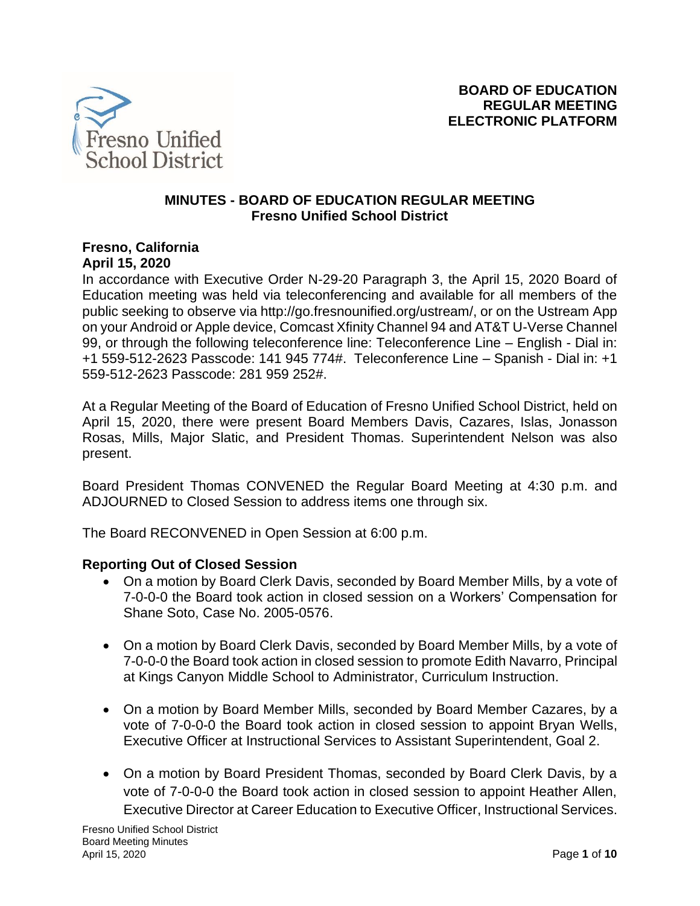

#### **MINUTES - BOARD OF EDUCATION REGULAR MEETING Fresno Unified School District**

### **Fresno, California April 15, 2020**

In accordance with Executive Order N-29-20 Paragraph 3, the April 15, 2020 Board of Education meeting was held via teleconferencing and available for all members of the public seeking to observe via http://go.fresnounified.org/ustream/, or on the Ustream App on your Android or Apple device, Comcast Xfinity Channel 94 and AT&T U-Verse Channel 99, or through the following teleconference line: Teleconference Line – English - Dial in: +1 559-512-2623 Passcode: 141 945 774#. Teleconference Line – Spanish - Dial in: +1 559-512-2623 Passcode: 281 959 252#.

At a Regular Meeting of the Board of Education of Fresno Unified School District, held on April 15, 2020, there were present Board Members Davis, Cazares, Islas, Jonasson Rosas, Mills, Major Slatic, and President Thomas. Superintendent Nelson was also present.

Board President Thomas CONVENED the Regular Board Meeting at 4:30 p.m. and ADJOURNED to Closed Session to address items one through six.

The Board RECONVENED in Open Session at 6:00 p.m.

### **Reporting Out of Closed Session**

- On a motion by Board Clerk Davis, seconded by Board Member Mills, by a vote of 7-0-0-0 the Board took action in closed session on a Workers' Compensation for Shane Soto, Case No. 2005-0576.
- On a motion by Board Clerk Davis, seconded by Board Member Mills, by a vote of 7-0-0-0 the Board took action in closed session to promote Edith Navarro, Principal at Kings Canyon Middle School to Administrator, Curriculum Instruction.
- On a motion by Board Member Mills, seconded by Board Member Cazares, by a vote of 7-0-0-0 the Board took action in closed session to appoint Bryan Wells, Executive Officer at Instructional Services to Assistant Superintendent, Goal 2.
- On a motion by Board President Thomas, seconded by Board Clerk Davis, by a vote of 7-0-0-0 the Board took action in closed session to appoint Heather Allen, Executive Director at Career Education to Executive Officer, Instructional Services.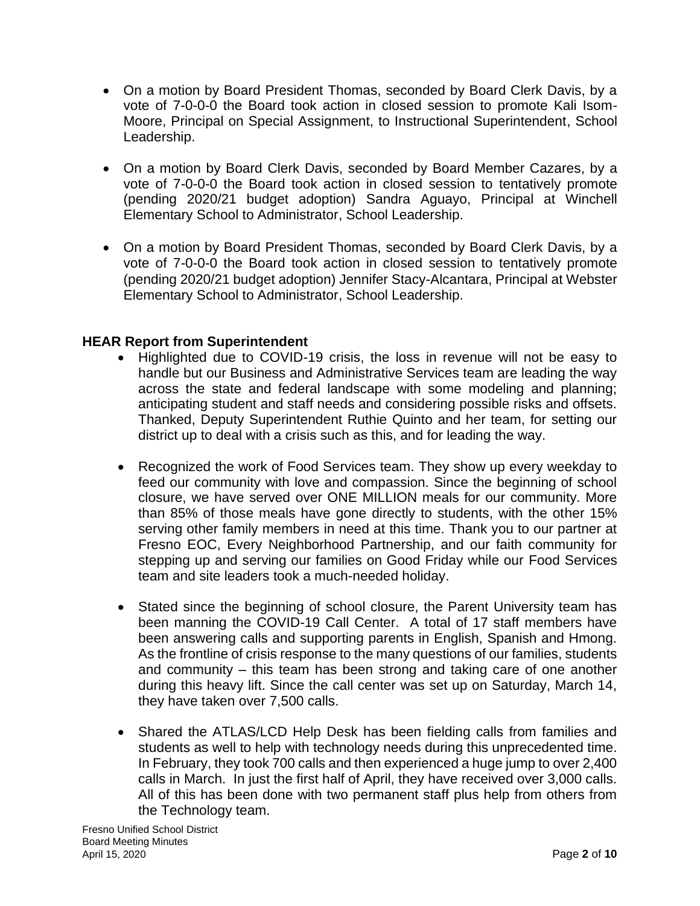- On a motion by Board President Thomas, seconded by Board Clerk Davis, by a vote of 7-0-0-0 the Board took action in closed session to promote Kali Isom-Moore, Principal on Special Assignment, to Instructional Superintendent, School Leadership.
- On a motion by Board Clerk Davis, seconded by Board Member Cazares, by a vote of 7-0-0-0 the Board took action in closed session to tentatively promote (pending 2020/21 budget adoption) Sandra Aguayo, Principal at Winchell Elementary School to Administrator, School Leadership.
- On a motion by Board President Thomas, seconded by Board Clerk Davis, by a vote of 7-0-0-0 the Board took action in closed session to tentatively promote (pending 2020/21 budget adoption) Jennifer Stacy-Alcantara, Principal at Webster Elementary School to Administrator, School Leadership.

### **HEAR Report from Superintendent**

- Highlighted due to COVID-19 crisis, the loss in revenue will not be easy to handle but our Business and Administrative Services team are leading the way across the state and federal landscape with some modeling and planning; anticipating student and staff needs and considering possible risks and offsets. Thanked, Deputy Superintendent Ruthie Quinto and her team, for setting our district up to deal with a crisis such as this, and for leading the way.
- Recognized the work of Food Services team. They show up every weekday to feed our community with love and compassion. Since the beginning of school closure, we have served over ONE MILLION meals for our community. More than 85% of those meals have gone directly to students, with the other 15% serving other family members in need at this time. Thank you to our partner at Fresno EOC, Every Neighborhood Partnership, and our faith community for stepping up and serving our families on Good Friday while our Food Services team and site leaders took a much-needed holiday.
- Stated since the beginning of school closure, the Parent University team has been manning the COVID-19 Call Center. A total of 17 staff members have been answering calls and supporting parents in English, Spanish and Hmong. As the frontline of crisis response to the many questions of our families, students and community – this team has been strong and taking care of one another during this heavy lift. Since the call center was set up on Saturday, March 14, they have taken over 7,500 calls.
- Shared the ATLAS/LCD Help Desk has been fielding calls from families and students as well to help with technology needs during this unprecedented time. In February, they took 700 calls and then experienced a huge jump to over 2,400 calls in March. In just the first half of April, they have received over 3,000 calls. All of this has been done with two permanent staff plus help from others from the Technology team.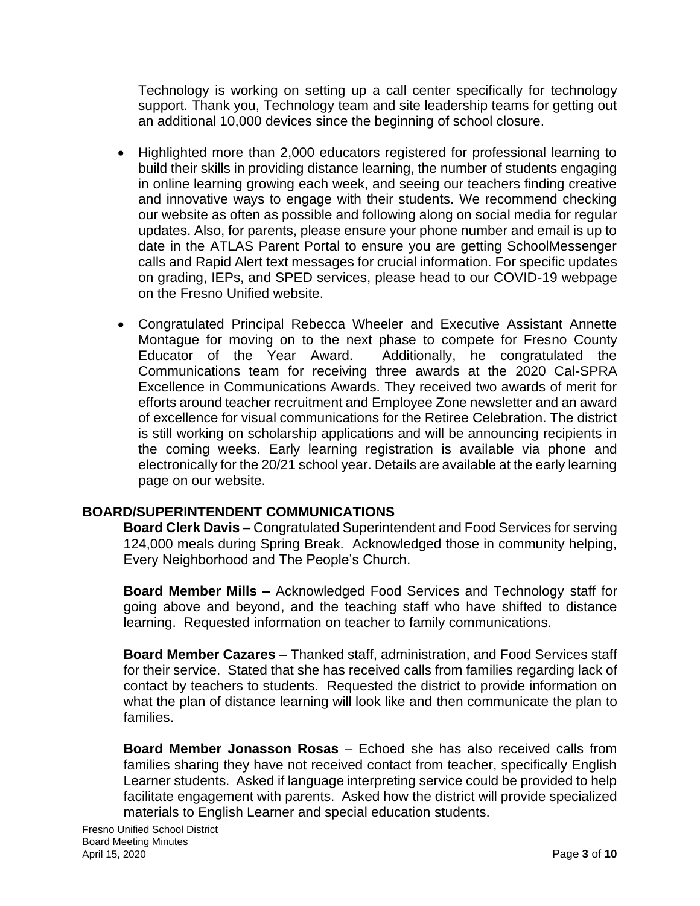Technology is working on setting up a call center specifically for technology support. Thank you, Technology team and site leadership teams for getting out an additional 10,000 devices since the beginning of school closure.

- Highlighted more than 2,000 educators registered for professional learning to build their skills in providing distance learning, the number of students engaging in online learning growing each week, and seeing our teachers finding creative and innovative ways to engage with their students. We recommend checking our website as often as possible and following along on social media for regular updates. Also, for parents, please ensure your phone number and email is up to date in the ATLAS Parent Portal to ensure you are getting SchoolMessenger calls and Rapid Alert text messages for crucial information. For specific updates on grading, IEPs, and SPED services, please head to our COVID-19 webpage on the Fresno Unified website.
- Congratulated Principal Rebecca Wheeler and Executive Assistant Annette Montague for moving on to the next phase to compete for Fresno County Educator of the Year Award. Additionally, he congratulated the Communications team for receiving three awards at the 2020 Cal-SPRA Excellence in Communications Awards. They received two awards of merit for efforts around teacher recruitment and Employee Zone newsletter and an award of excellence for visual communications for the Retiree Celebration. The district is still working on scholarship applications and will be announcing recipients in the coming weeks. Early learning registration is available via phone and electronically for the 20/21 school year. Details are available at the early learning page on our website.

# **BOARD/SUPERINTENDENT COMMUNICATIONS**

**Board Clerk Davis –** Congratulated Superintendent and Food Services for serving 124,000 meals during Spring Break. Acknowledged those in community helping, Every Neighborhood and The People's Church.

**Board Member Mills –** Acknowledged Food Services and Technology staff for going above and beyond, and the teaching staff who have shifted to distance learning. Requested information on teacher to family communications.

**Board Member Cazares** – Thanked staff, administration, and Food Services staff for their service. Stated that she has received calls from families regarding lack of contact by teachers to students. Requested the district to provide information on what the plan of distance learning will look like and then communicate the plan to families.

**Board Member Jonasson Rosas** – Echoed she has also received calls from families sharing they have not received contact from teacher, specifically English Learner students. Asked if language interpreting service could be provided to help facilitate engagement with parents. Asked how the district will provide specialized materials to English Learner and special education students.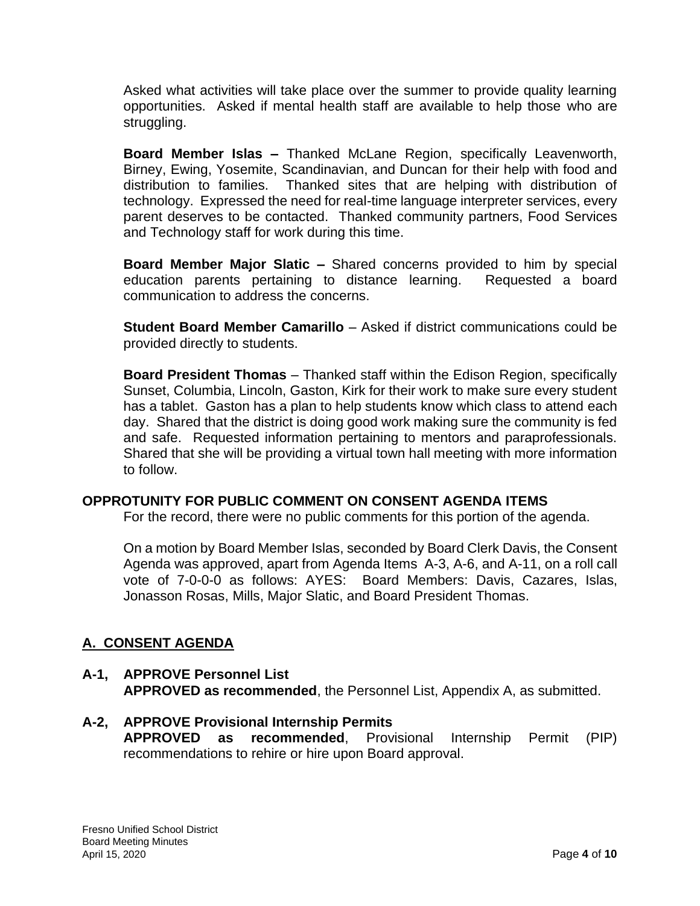Asked what activities will take place over the summer to provide quality learning opportunities. Asked if mental health staff are available to help those who are struggling.

**Board Member Islas –** Thanked McLane Region, specifically Leavenworth, Birney, Ewing, Yosemite, Scandinavian, and Duncan for their help with food and distribution to families. Thanked sites that are helping with distribution of technology. Expressed the need for real-time language interpreter services, every parent deserves to be contacted. Thanked community partners, Food Services and Technology staff for work during this time.

**Board Member Major Slatic –** Shared concerns provided to him by special education parents pertaining to distance learning. Requested a board communication to address the concerns.

**Student Board Member Camarillo** – Asked if district communications could be provided directly to students.

**Board President Thomas** – Thanked staff within the Edison Region, specifically Sunset, Columbia, Lincoln, Gaston, Kirk for their work to make sure every student has a tablet. Gaston has a plan to help students know which class to attend each day. Shared that the district is doing good work making sure the community is fed and safe. Requested information pertaining to mentors and paraprofessionals. Shared that she will be providing a virtual town hall meeting with more information to follow.

### **OPPROTUNITY FOR PUBLIC COMMENT ON CONSENT AGENDA ITEMS**

For the record, there were no public comments for this portion of the agenda.

On a motion by Board Member Islas, seconded by Board Clerk Davis, the Consent Agenda was approved, apart from Agenda Items A-3, A-6, and A-11, on a roll call vote of 7-0-0-0 as follows: AYES: Board Members: Davis, Cazares, Islas, Jonasson Rosas, Mills, Major Slatic, and Board President Thomas.

# **A. CONSENT AGENDA**

### **A-1, APPROVE Personnel List APPROVED as recommended**, the Personnel List, Appendix A, as submitted.

# **A-2, APPROVE Provisional Internship Permits**

**APPROVED as recommended**, Provisional Internship Permit (PIP) recommendations to rehire or hire upon Board approval.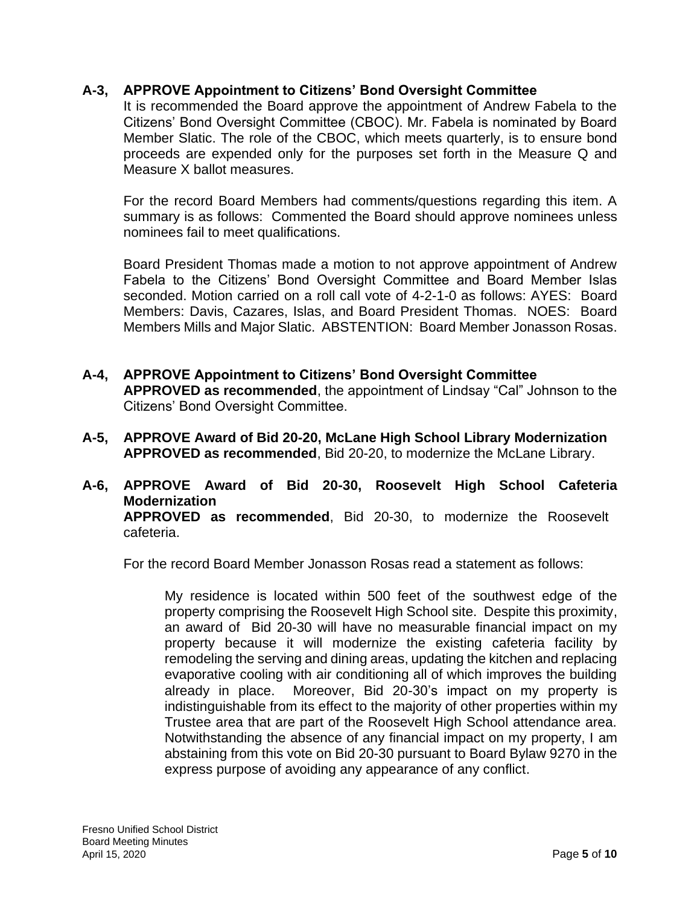### **A-3, APPROVE Appointment to Citizens' Bond Oversight Committee**

It is recommended the Board approve the appointment of Andrew Fabela to the Citizens' Bond Oversight Committee (CBOC). Mr. Fabela is nominated by Board Member Slatic. The role of the CBOC, which meets quarterly, is to ensure bond proceeds are expended only for the purposes set forth in the Measure Q and Measure X ballot measures.

For the record Board Members had comments/questions regarding this item. A summary is as follows: Commented the Board should approve nominees unless nominees fail to meet qualifications.

Board President Thomas made a motion to not approve appointment of Andrew Fabela to the Citizens' Bond Oversight Committee and Board Member Islas seconded. Motion carried on a roll call vote of 4-2-1-0 as follows: AYES: Board Members: Davis, Cazares, Islas, and Board President Thomas. NOES: Board Members Mills and Major Slatic. ABSTENTION: Board Member Jonasson Rosas.

- **A-4, APPROVE Appointment to Citizens' Bond Oversight Committee APPROVED as recommended**, the appointment of Lindsay "Cal" Johnson to the Citizens' Bond Oversight Committee.
- **A-5, APPROVE Award of Bid 20-20, McLane High School Library Modernization APPROVED as recommended**, Bid 20-20, to modernize the McLane Library.
- **A-6, APPROVE Award of Bid 20-30, Roosevelt High School Cafeteria Modernization APPROVED as recommended**, Bid 20-30, to modernize the Roosevelt cafeteria.

For the record Board Member Jonasson Rosas read a statement as follows:

My residence is located within 500 feet of the southwest edge of the property comprising the Roosevelt High School site. Despite this proximity, an award of Bid 20-30 will have no measurable financial impact on my property because it will modernize the existing cafeteria facility by remodeling the serving and dining areas, updating the kitchen and replacing evaporative cooling with air conditioning all of which improves the building already in place. Moreover, Bid 20-30's impact on my property is indistinguishable from its effect to the majority of other properties within my Trustee area that are part of the Roosevelt High School attendance area. Notwithstanding the absence of any financial impact on my property, I am abstaining from this vote on Bid 20-30 pursuant to Board Bylaw 9270 in the express purpose of avoiding any appearance of any conflict.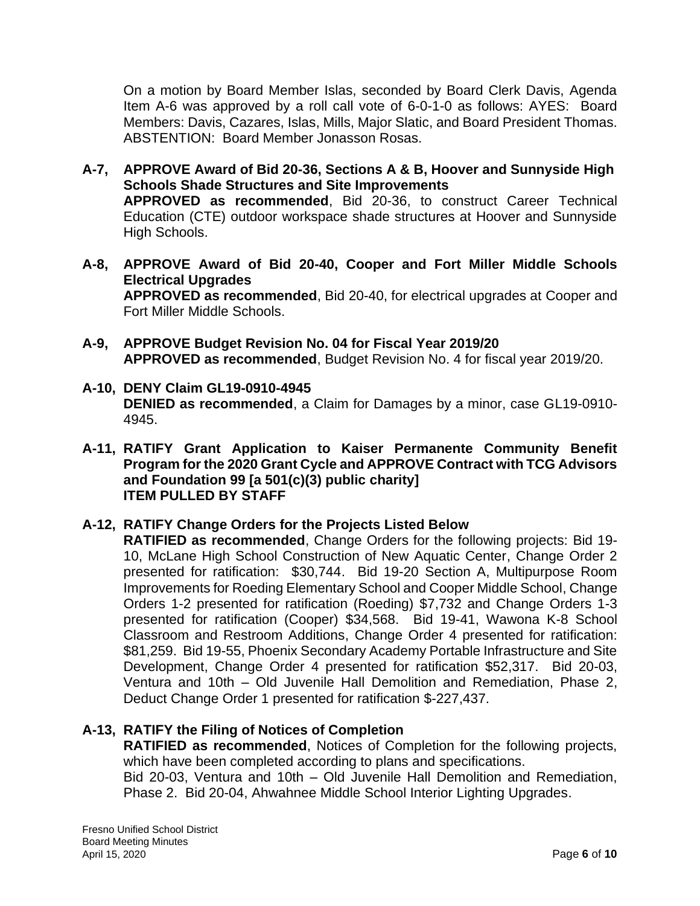On a motion by Board Member Islas, seconded by Board Clerk Davis, Agenda Item A-6 was approved by a roll call vote of 6-0-1-0 as follows: AYES: Board Members: Davis, Cazares, Islas, Mills, Major Slatic, and Board President Thomas. ABSTENTION: Board Member Jonasson Rosas.

- **A-7, APPROVE Award of Bid 20-36, Sections A & B, Hoover and Sunnyside High Schools Shade Structures and Site Improvements APPROVED as recommended**, Bid 20-36, to construct Career Technical Education (CTE) outdoor workspace shade structures at Hoover and Sunnyside High Schools.
- **A-8, APPROVE Award of Bid 20-40, Cooper and Fort Miller Middle Schools Electrical Upgrades APPROVED as recommended**, Bid 20-40, for electrical upgrades at Cooper and Fort Miller Middle Schools.
- **A-9, APPROVE Budget Revision No. 04 for Fiscal Year 2019/20 APPROVED as recommended**, Budget Revision No. 4 for fiscal year 2019/20.
- **A-10, DENY Claim GL19-0910-4945 DENIED as recommended**, a Claim for Damages by a minor, case GL19-0910- 4945.
- **A-11, RATIFY Grant Application to Kaiser Permanente Community Benefit Program for the 2020 Grant Cycle and APPROVE Contract with TCG Advisors and Foundation 99 [a 501(c)(3) public charity] ITEM PULLED BY STAFF**

# **A-12, RATIFY Change Orders for the Projects Listed Below**

**RATIFIED as recommended**, Change Orders for the following projects: Bid 19- 10, McLane High School Construction of New Aquatic Center, Change Order 2 presented for ratification: \$30,744. Bid 19-20 Section A, Multipurpose Room Improvements for Roeding Elementary School and Cooper Middle School, Change Orders 1-2 presented for ratification (Roeding) \$7,732 and Change Orders 1-3 presented for ratification (Cooper) \$34,568. Bid 19-41, Wawona K-8 School Classroom and Restroom Additions, Change Order 4 presented for ratification: \$81,259. Bid 19-55, Phoenix Secondary Academy Portable Infrastructure and Site Development, Change Order 4 presented for ratification \$52,317. Bid 20-03, Ventura and 10th – Old Juvenile Hall Demolition and Remediation, Phase 2, Deduct Change Order 1 presented for ratification \$-227,437.

# **A-13, RATIFY the Filing of Notices of Completion**

**RATIFIED as recommended**, Notices of Completion for the following projects, which have been completed according to plans and specifications.

Bid 20-03, Ventura and 10th – Old Juvenile Hall Demolition and Remediation, Phase 2. Bid 20-04, Ahwahnee Middle School Interior Lighting Upgrades.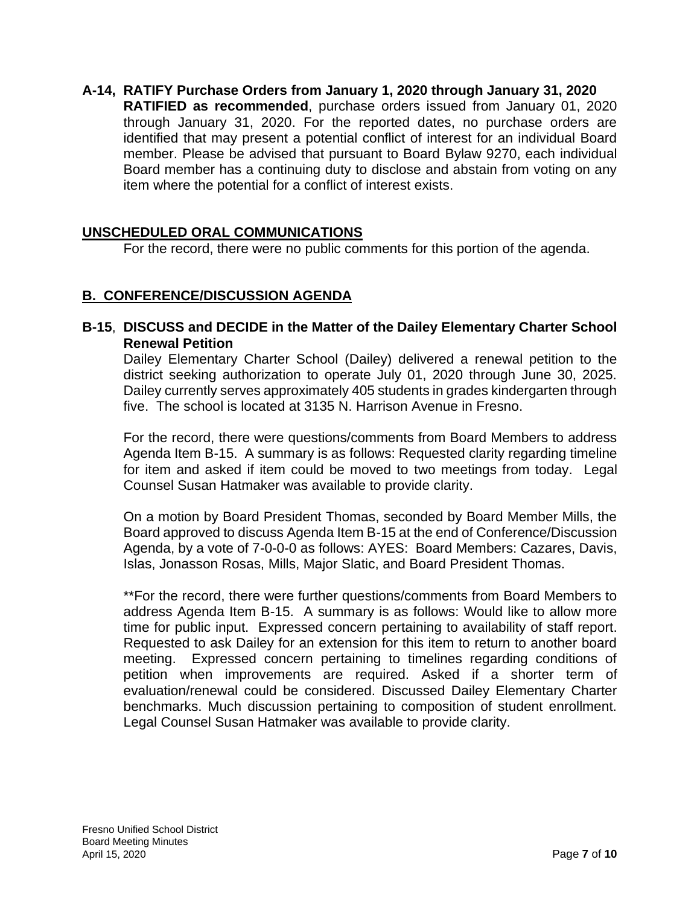**A-14, RATIFY Purchase Orders from January 1, 2020 through January 31, 2020 RATIFIED as recommended**, purchase orders issued from January 01, 2020 through January 31, 2020. For the reported dates, no purchase orders are identified that may present a potential conflict of interest for an individual Board member. Please be advised that pursuant to Board Bylaw 9270, each individual Board member has a continuing duty to disclose and abstain from voting on any item where the potential for a conflict of interest exists.

# **UNSCHEDULED ORAL COMMUNICATIONS**

For the record, there were no public comments for this portion of the agenda.

### **B. CONFERENCE/DISCUSSION AGENDA**

### **B-15**, **DISCUSS and DECIDE in the Matter of the Dailey Elementary Charter School Renewal Petition**

Dailey Elementary Charter School (Dailey) delivered a renewal petition to the district seeking authorization to operate July 01, 2020 through June 30, 2025. Dailey currently serves approximately 405 students in grades kindergarten through five. The school is located at 3135 N. Harrison Avenue in Fresno.

For the record, there were questions/comments from Board Members to address Agenda Item B-15. A summary is as follows: Requested clarity regarding timeline for item and asked if item could be moved to two meetings from today. Legal Counsel Susan Hatmaker was available to provide clarity.

On a motion by Board President Thomas, seconded by Board Member Mills, the Board approved to discuss Agenda Item B-15 at the end of Conference/Discussion Agenda, by a vote of 7-0-0-0 as follows: AYES: Board Members: Cazares, Davis, Islas, Jonasson Rosas, Mills, Major Slatic, and Board President Thomas.

\*\*For the record, there were further questions/comments from Board Members to address Agenda Item B-15. A summary is as follows: Would like to allow more time for public input. Expressed concern pertaining to availability of staff report. Requested to ask Dailey for an extension for this item to return to another board meeting. Expressed concern pertaining to timelines regarding conditions of petition when improvements are required. Asked if a shorter term of evaluation/renewal could be considered. Discussed Dailey Elementary Charter benchmarks. Much discussion pertaining to composition of student enrollment. Legal Counsel Susan Hatmaker was available to provide clarity.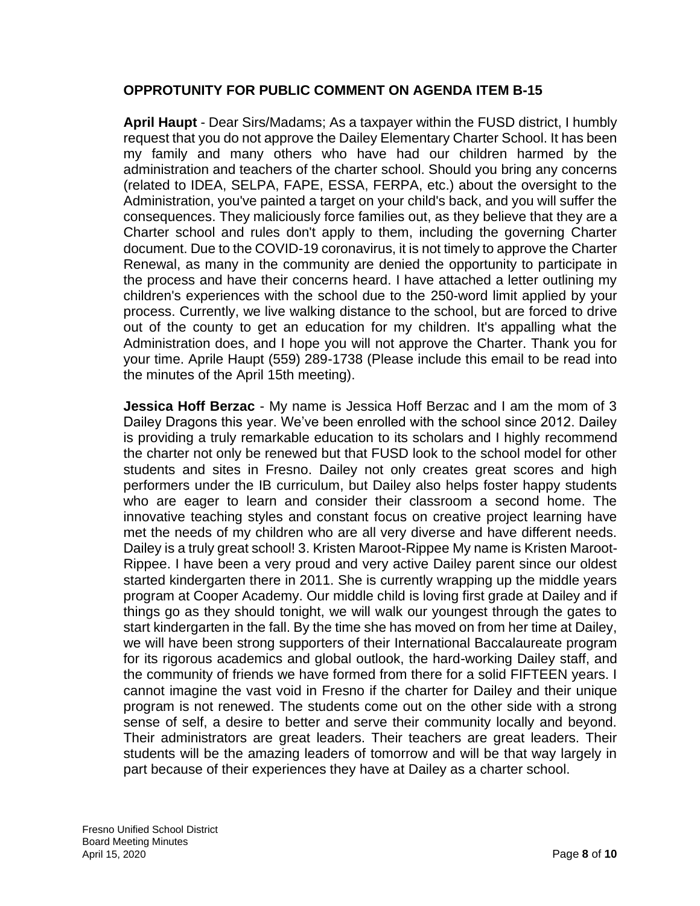### **OPPROTUNITY FOR PUBLIC COMMENT ON AGENDA ITEM B-15**

**April Haupt** - Dear Sirs/Madams; As a taxpayer within the FUSD district, I humbly request that you do not approve the Dailey Elementary Charter School. It has been my family and many others who have had our children harmed by the administration and teachers of the charter school. Should you bring any concerns (related to IDEA, SELPA, FAPE, ESSA, FERPA, etc.) about the oversight to the Administration, you've painted a target on your child's back, and you will suffer the consequences. They maliciously force families out, as they believe that they are a Charter school and rules don't apply to them, including the governing Charter document. Due to the COVID-19 coronavirus, it is not timely to approve the Charter Renewal, as many in the community are denied the opportunity to participate in the process and have their concerns heard. I have attached a letter outlining my children's experiences with the school due to the 250-word limit applied by your process. Currently, we live walking distance to the school, but are forced to drive out of the county to get an education for my children. It's appalling what the Administration does, and I hope you will not approve the Charter. Thank you for your time. Aprile Haupt (559) 289-1738 (Please include this email to be read into the minutes of the April 15th meeting).

**Jessica Hoff Berzac** - My name is Jessica Hoff Berzac and I am the mom of 3 Dailey Dragons this year. We've been enrolled with the school since 2012. Dailey is providing a truly remarkable education to its scholars and I highly recommend the charter not only be renewed but that FUSD look to the school model for other students and sites in Fresno. Dailey not only creates great scores and high performers under the IB curriculum, but Dailey also helps foster happy students who are eager to learn and consider their classroom a second home. The innovative teaching styles and constant focus on creative project learning have met the needs of my children who are all very diverse and have different needs. Dailey is a truly great school! 3. Kristen Maroot-Rippee My name is Kristen Maroot-Rippee. I have been a very proud and very active Dailey parent since our oldest started kindergarten there in 2011. She is currently wrapping up the middle years program at Cooper Academy. Our middle child is loving first grade at Dailey and if things go as they should tonight, we will walk our youngest through the gates to start kindergarten in the fall. By the time she has moved on from her time at Dailey, we will have been strong supporters of their International Baccalaureate program for its rigorous academics and global outlook, the hard-working Dailey staff, and the community of friends we have formed from there for a solid FIFTEEN years. I cannot imagine the vast void in Fresno if the charter for Dailey and their unique program is not renewed. The students come out on the other side with a strong sense of self, a desire to better and serve their community locally and beyond. Their administrators are great leaders. Their teachers are great leaders. Their students will be the amazing leaders of tomorrow and will be that way largely in part because of their experiences they have at Dailey as a charter school.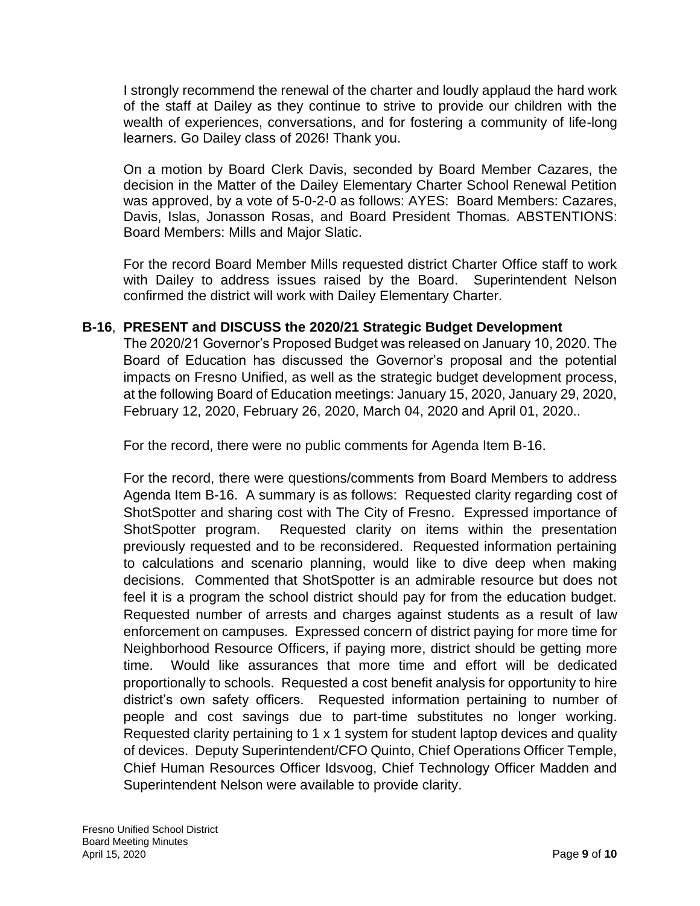I strongly recommend the renewal of the charter and loudly applaud the hard work of the staff at Dailey as they continue to strive to provide our children with the wealth of experiences, conversations, and for fostering a community of life-long learners. Go Dailey class of 2026! Thank you.

On a motion by Board Clerk Davis, seconded by Board Member Cazares, the decision in the Matter of the Dailey Elementary Charter School Renewal Petition was approved, by a vote of 5-0-2-0 as follows: AYES: Board Members: Cazares, Davis, Islas, Jonasson Rosas, and Board President Thomas. ABSTENTIONS: Board Members: Mills and Major Slatic.

For the record Board Member Mills requested district Charter Office staff to work with Dailey to address issues raised by the Board. Superintendent Nelson confirmed the district will work with Dailey Elementary Charter.

# **B-16**, **PRESENT and DISCUSS the 2020/21 Strategic Budget Development**

The 2020/21 Governor's Proposed Budget was released on January 10, 2020. The Board of Education has discussed the Governor's proposal and the potential impacts on Fresno Unified, as well as the strategic budget development process, at the following Board of Education meetings: January 15, 2020, January 29, 2020, February 12, 2020, February 26, 2020, March 04, 2020 and April 01, 2020..

For the record, there were no public comments for Agenda Item B-16.

For the record, there were questions/comments from Board Members to address Agenda Item B-16. A summary is as follows: Requested clarity regarding cost of ShotSpotter and sharing cost with The City of Fresno. Expressed importance of ShotSpotter program. Requested clarity on items within the presentation previously requested and to be reconsidered. Requested information pertaining to calculations and scenario planning, would like to dive deep when making decisions. Commented that ShotSpotter is an admirable resource but does not feel it is a program the school district should pay for from the education budget. Requested number of arrests and charges against students as a result of law enforcement on campuses. Expressed concern of district paying for more time for Neighborhood Resource Officers, if paying more, district should be getting more time. Would like assurances that more time and effort will be dedicated proportionally to schools. Requested a cost benefit analysis for opportunity to hire district's own safety officers. Requested information pertaining to number of people and cost savings due to part-time substitutes no longer working. Requested clarity pertaining to 1 x 1 system for student laptop devices and quality of devices. Deputy Superintendent/CFO Quinto, Chief Operations Officer Temple, Chief Human Resources Officer Idsvoog, Chief Technology Officer Madden and Superintendent Nelson were available to provide clarity.